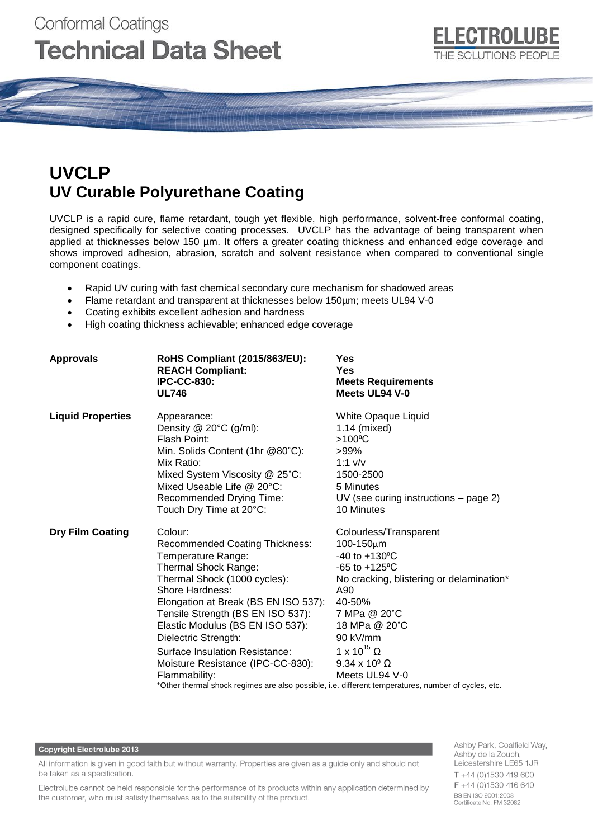# **Conformal Coatings Technical Data Sheet**

# **UVCLP UV Curable Polyurethane Coating**

UVCLP is a rapid cure, flame retardant, tough yet flexible, high performance, solvent-free conformal coating, designed specifically for selective coating processes. UVCLP has the advantage of being transparent when applied at thicknesses below 150 µm. It offers a greater coating thickness and enhanced edge coverage and shows improved adhesion, abrasion, scratch and solvent resistance when compared to conventional single component coatings.

- Rapid UV curing with fast chemical secondary cure mechanism for shadowed areas
- Flame retardant and transparent at thicknesses below 150µm; meets UL94 V-0
- Coating exhibits excellent adhesion and hardness
- High coating thickness achievable; enhanced edge coverage

| <b>Approvals</b>         | RoHS Compliant (2015/863/EU):<br><b>REACH Compliant:</b><br><b>IPC-CC-830:</b><br><b>UL746</b>                                                                                                                                                                                                                                                                                                                                                                                            | Yes<br><b>Yes</b><br><b>Meets Requirements</b><br>Meets UL94 V-0                                                                                                                                                                                                                 |  |
|--------------------------|-------------------------------------------------------------------------------------------------------------------------------------------------------------------------------------------------------------------------------------------------------------------------------------------------------------------------------------------------------------------------------------------------------------------------------------------------------------------------------------------|----------------------------------------------------------------------------------------------------------------------------------------------------------------------------------------------------------------------------------------------------------------------------------|--|
| <b>Liquid Properties</b> | Appearance:<br>Density $@$ 20 $°C$ (g/ml):<br>Flash Point:<br>Min. Solids Content (1hr @80°C):<br>Mix Ratio:<br>Mixed System Viscosity @ 25°C:<br>Mixed Useable Life $@$ 20 $°C$ :<br>Recommended Drying Time:<br>Touch Dry Time at 20°C:                                                                                                                                                                                                                                                 | White Opaque Liquid<br>1.14 (mixed)<br>$>100^{\circ}$ C<br>>99%<br>$1:1$ v/v<br>1500-2500<br>5 Minutes<br>$UV$ (see curing instructions – page 2)<br>10 Minutes                                                                                                                  |  |
| <b>Dry Film Coating</b>  | Colour:<br><b>Recommended Coating Thickness:</b><br>Temperature Range:<br>Thermal Shock Range:<br>Thermal Shock (1000 cycles):<br>Shore Hardness:<br>Elongation at Break (BS EN ISO 537):<br>Tensile Strength (BS EN ISO 537):<br>Elastic Modulus (BS EN ISO 537):<br>Dielectric Strength:<br>Surface Insulation Resistance:<br>Moisture Resistance (IPC-CC-830):<br>Flammability:<br>*Other thermal shock regimes are also possible, i.e. different temperatures, number of cycles, etc. | Colourless/Transparent<br>100-150µm<br>-40 to +130°C<br>$-65$ to $+125$ <sup>o</sup> C<br>No cracking, blistering or delamination*<br>A90<br>40-50%<br>7 MPa @ 20°C<br>18 MPa @ 20°C<br>90 kV/mm<br>1 x 10 <sup>15</sup> $\Omega$<br>$9.34 \times 10^9 \Omega$<br>Meets UL94 V-0 |  |

#### **Copyright Electrolube 2013**

All information is given in good faith but without warranty. Properties are given as a guide only and should not be taken as a specification.

Electrolube cannot be held responsible for the performance of its products within any application determined by the customer, who must satisfy themselves as to the suitability of the product.

Ashby Park, Coalfield Way, Ashby de la Zouch, Leicestershire LE65 1JR  $T + 44$  (0)1530 419 600 F +44 (0)1530 416 640 BS EN ISO 9001:2008 Certificate No. FM 32082

ECTROLL

THE SOLUTIONS PEOPLE